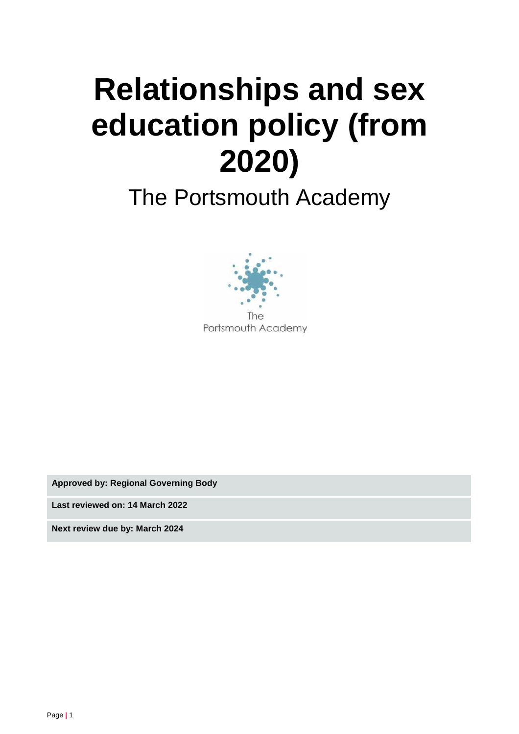# **Relationships and sex education policy (from 2020)**

# The Portsmouth Academy



**Approved by: Regional Governing Body**

**Last reviewed on: 14 March 2022**

**Next review due by: March 2024**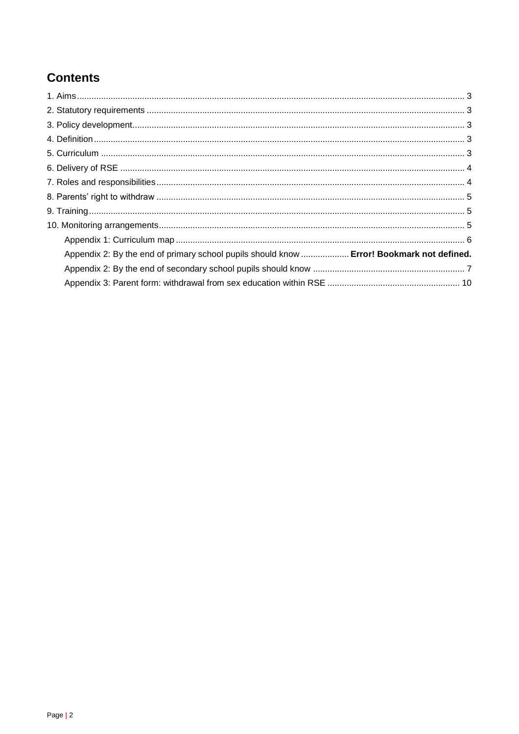# **Contents**

| Appendix 2: By the end of primary school pupils should know  Error! Bookmark not defined. |  |
|-------------------------------------------------------------------------------------------|--|
|                                                                                           |  |
|                                                                                           |  |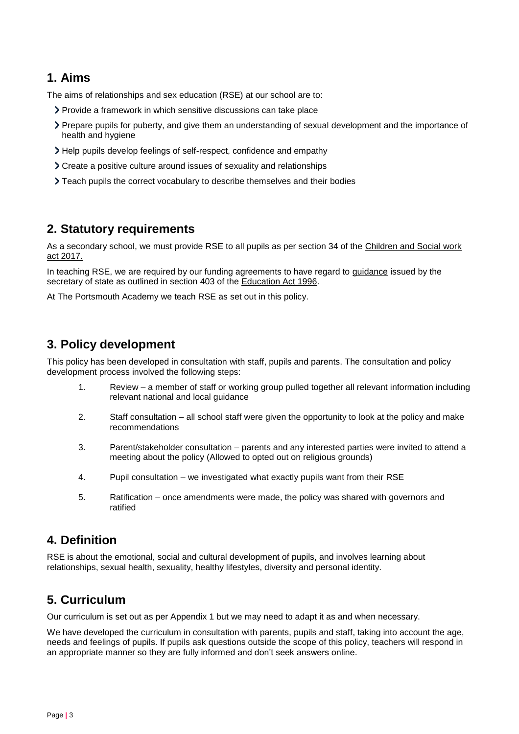# <span id="page-2-0"></span>**1. Aims**

The aims of relationships and sex education (RSE) at our school are to:

- Provide a framework in which sensitive discussions can take place
- Prepare pupils for puberty, and give them an understanding of sexual development and the importance of health and hygiene
- Help pupils develop feelings of self-respect, confidence and empathy
- Create a positive culture around issues of sexuality and relationships
- Teach pupils the correct vocabulary to describe themselves and their bodies

# <span id="page-2-1"></span>**2. Statutory requirements**

As a secondary school, we must provide RSE to all pupils as per section 34 of the [Children and Social work](http://www.legislation.gov.uk/ukpga/2017/16/section/34/enacted)  [act 2017.](http://www.legislation.gov.uk/ukpga/2017/16/section/34/enacted)

In teaching RSE, we are required by our funding agreements to have regard to [guidance](https://www.gov.uk/government/consultations/relationships-and-sex-education-and-health-education) issued by the secretary of state as outlined in section 403 of the [Education Act 1996.](http://www.legislation.gov.uk/ukpga/1996/56/contents)

At The Portsmouth Academy we teach RSE as set out in this policy.

# <span id="page-2-2"></span>**3. Policy development**

This policy has been developed in consultation with staff, pupils and parents. The consultation and policy development process involved the following steps:

- 1. Review a member of staff or working group pulled together all relevant information including relevant national and local guidance
- 2. Staff consultation all school staff were given the opportunity to look at the policy and make recommendations
- 3. Parent/stakeholder consultation parents and any interested parties were invited to attend a meeting about the policy (Allowed to opted out on religious grounds)
- 4. Pupil consultation we investigated what exactly pupils want from their RSE
- 5. Ratification once amendments were made, the policy was shared with governors and ratified

# <span id="page-2-3"></span>**4. Definition**

RSE is about the emotional, social and cultural development of pupils, and involves learning about relationships, sexual health, sexuality, healthy lifestyles, diversity and personal identity.

# <span id="page-2-4"></span>**5. Curriculum**

Our curriculum is set out as per Appendix 1 but we may need to adapt it as and when necessary.

We have developed the curriculum in consultation with parents, pupils and staff, taking into account the age, needs and feelings of pupils. If pupils ask questions outside the scope of this policy, teachers will respond in an appropriate manner so they are fully informed and don't seek answers online.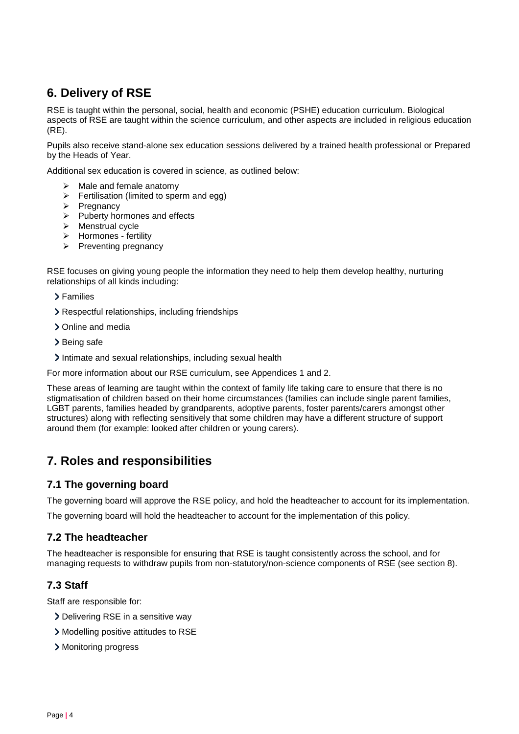# <span id="page-3-0"></span>**6. Delivery of RSE**

RSE is taught within the personal, social, health and economic (PSHE) education curriculum. Biological aspects of RSE are taught within the science curriculum, and other aspects are included in religious education (RE).

Pupils also receive stand-alone sex education sessions delivered by a trained health professional or Prepared by the Heads of Year.

Additional sex education is covered in science, as outlined below:

- $\triangleright$  Male and female anatomy
- $\triangleright$  Fertilisation (limited to sperm and egg)
- ➢ Pregnancy
- ➢ Puberty hormones and effects
- ➢ Menstrual cycle
- ➢ Hormones fertility
- ➢ Preventing pregnancy

RSE focuses on giving young people the information they need to help them develop healthy, nurturing relationships of all kinds including:

Families

- Respectful relationships, including friendships
- > Online and media
- > Being safe
- Intimate and sexual relationships, including sexual health

For more information about our RSE curriculum, see Appendices 1 and 2.

These areas of learning are taught within the context of family life taking care to ensure that there is no stigmatisation of children based on their home circumstances (families can include single parent families, LGBT parents, families headed by grandparents, adoptive parents, foster parents/carers amongst other structures) along with reflecting sensitively that some children may have a different structure of support around them (for example: looked after children or young carers).

# <span id="page-3-1"></span>**7. Roles and responsibilities**

#### **7.1 The governing board**

The governing board will approve the RSE policy, and hold the headteacher to account for its implementation.

The governing board will hold the headteacher to account for the implementation of this policy.

#### **7.2 The headteacher**

The headteacher is responsible for ensuring that RSE is taught consistently across the school, and for managing requests to withdraw pupils from non-statutory/non-science components of RSE (see section 8).

#### **7.3 Staff**

Staff are responsible for:

- Delivering RSE in a sensitive way
- Modelling positive attitudes to RSE
- Monitoring progress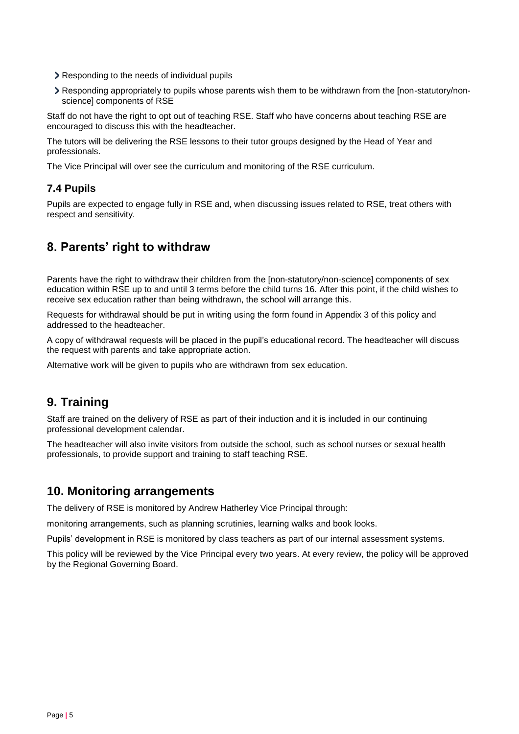- Responding to the needs of individual pupils
- Responding appropriately to pupils whose parents wish them to be withdrawn from the [non-statutory/nonscience] components of RSE

Staff do not have the right to opt out of teaching RSE. Staff who have concerns about teaching RSE are encouraged to discuss this with the headteacher.

The tutors will be delivering the RSE lessons to their tutor groups designed by the Head of Year and professionals.

The Vice Principal will over see the curriculum and monitoring of the RSE curriculum.

#### **7.4 Pupils**

Pupils are expected to engage fully in RSE and, when discussing issues related to RSE, treat others with respect and sensitivity.

# <span id="page-4-0"></span>**8. Parents' right to withdraw**

Parents have the right to withdraw their children from the [non-statutory/non-science] components of sex education within RSE up to and until 3 terms before the child turns 16. After this point, if the child wishes to receive sex education rather than being withdrawn, the school will arrange this.

Requests for withdrawal should be put in writing using the form found in Appendix 3 of this policy and addressed to the headteacher.

A copy of withdrawal requests will be placed in the pupil's educational record. The headteacher will discuss the request with parents and take appropriate action.

Alternative work will be given to pupils who are withdrawn from sex education.

# <span id="page-4-1"></span>**9. Training**

Staff are trained on the delivery of RSE as part of their induction and it is included in our continuing professional development calendar.

The headteacher will also invite visitors from outside the school, such as school nurses or sexual health professionals, to provide support and training to staff teaching RSE.

#### <span id="page-4-2"></span>**10. Monitoring arrangements**

The delivery of RSE is monitored by Andrew Hatherley Vice Principal through:

monitoring arrangements, such as planning scrutinies, learning walks and book looks.

Pupils' development in RSE is monitored by class teachers as part of our internal assessment systems.

This policy will be reviewed by the Vice Principal every two years. At every review, the policy will be approved by the Regional Governing Board.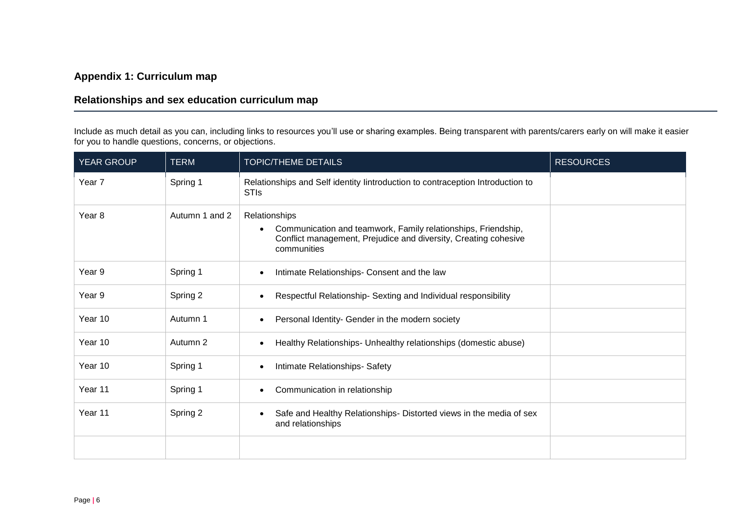#### **Appendix 1: Curriculum map**

#### **Relationships and sex education curriculum map**

Include as much detail as you can, including links to resources you'll use or sharing examples. Being transparent with parents/carers early on will make it easier for you to handle questions, concerns, or objections.

<span id="page-5-0"></span>

| <b>YEAR GROUP</b> | <b>TERM</b>    | <b>TOPIC/THEME DETAILS</b>                                                                                                                                       | <b>RESOURCES</b> |
|-------------------|----------------|------------------------------------------------------------------------------------------------------------------------------------------------------------------|------------------|
| Year 7            | Spring 1       | Relationships and Self identity lintroduction to contraception Introduction to<br><b>STIs</b>                                                                    |                  |
| Year 8            | Autumn 1 and 2 | Relationships<br>Communication and teamwork, Family relationships, Friendship,<br>Conflict management, Prejudice and diversity, Creating cohesive<br>communities |                  |
| Year 9            | Spring 1       | Intimate Relationships- Consent and the law                                                                                                                      |                  |
| Year 9            | Spring 2       | Respectful Relationship- Sexting and Individual responsibility                                                                                                   |                  |
| Year 10           | Autumn 1       | Personal Identity- Gender in the modern society                                                                                                                  |                  |
| Year 10           | Autumn 2       | Healthy Relationships- Unhealthy relationships (domestic abuse)                                                                                                  |                  |
| Year 10           | Spring 1       | Intimate Relationships- Safety                                                                                                                                   |                  |
| Year 11           | Spring 1       | Communication in relationship                                                                                                                                    |                  |
| Year 11           | Spring 2       | Safe and Healthy Relationships- Distorted views in the media of sex<br>and relationships                                                                         |                  |
|                   |                |                                                                                                                                                                  |                  |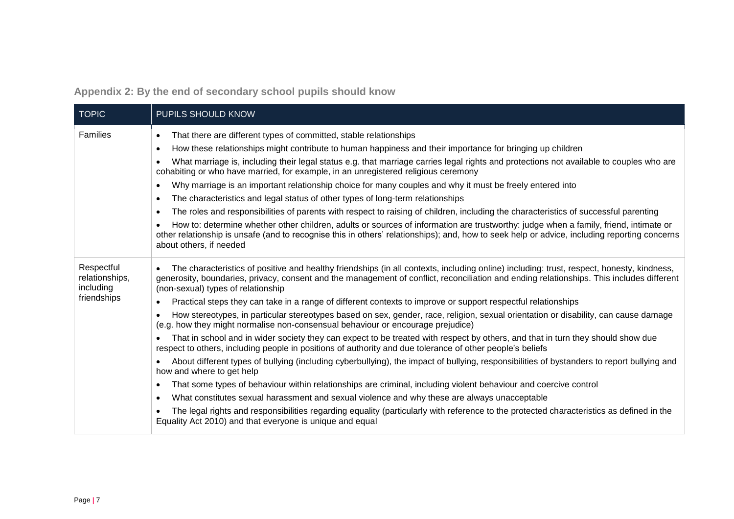**Appendix 2: By the end of secondary school pupils should know**

<span id="page-6-0"></span>

| <b>TOPIC</b>                              | PUPILS SHOULD KNOW                                                                                                                                                                                                                                                                                                                        |
|-------------------------------------------|-------------------------------------------------------------------------------------------------------------------------------------------------------------------------------------------------------------------------------------------------------------------------------------------------------------------------------------------|
| Families                                  | That there are different types of committed, stable relationships<br>$\bullet$                                                                                                                                                                                                                                                            |
|                                           | How these relationships might contribute to human happiness and their importance for bringing up children<br>$\bullet$                                                                                                                                                                                                                    |
|                                           | What marriage is, including their legal status e.g. that marriage carries legal rights and protections not available to couples who are<br>$\bullet$<br>cohabiting or who have married, for example, in an unregistered religious ceremony                                                                                                |
|                                           | Why marriage is an important relationship choice for many couples and why it must be freely entered into<br>$\bullet$                                                                                                                                                                                                                     |
|                                           | The characteristics and legal status of other types of long-term relationships<br>$\bullet$                                                                                                                                                                                                                                               |
|                                           | The roles and responsibilities of parents with respect to raising of children, including the characteristics of successful parenting<br>$\bullet$                                                                                                                                                                                         |
|                                           | How to: determine whether other children, adults or sources of information are trustworthy: judge when a family, friend, intimate or<br>$\bullet$<br>other relationship is unsafe (and to recognise this in others' relationships); and, how to seek help or advice, including reporting concerns<br>about others, if needed              |
| Respectful<br>relationships,<br>including | The characteristics of positive and healthy friendships (in all contexts, including online) including: trust, respect, honesty, kindness,<br>$\bullet$<br>generosity, boundaries, privacy, consent and the management of conflict, reconciliation and ending relationships. This includes different<br>(non-sexual) types of relationship |
| friendships                               | Practical steps they can take in a range of different contexts to improve or support respectful relationships                                                                                                                                                                                                                             |
|                                           | How stereotypes, in particular stereotypes based on sex, gender, race, religion, sexual orientation or disability, can cause damage<br>$\bullet$<br>(e.g. how they might normalise non-consensual behaviour or encourage prejudice)                                                                                                       |
|                                           | That in school and in wider society they can expect to be treated with respect by others, and that in turn they should show due<br>respect to others, including people in positions of authority and due tolerance of other people's beliefs                                                                                              |
|                                           | About different types of bullying (including cyberbullying), the impact of bullying, responsibilities of bystanders to report bullying and<br>$\bullet$<br>how and where to get help                                                                                                                                                      |
|                                           | That some types of behaviour within relationships are criminal, including violent behaviour and coercive control<br>$\bullet$                                                                                                                                                                                                             |
|                                           | What constitutes sexual harassment and sexual violence and why these are always unacceptable<br>$\bullet$                                                                                                                                                                                                                                 |
|                                           | The legal rights and responsibilities regarding equality (particularly with reference to the protected characteristics as defined in the<br>Equality Act 2010) and that everyone is unique and equal                                                                                                                                      |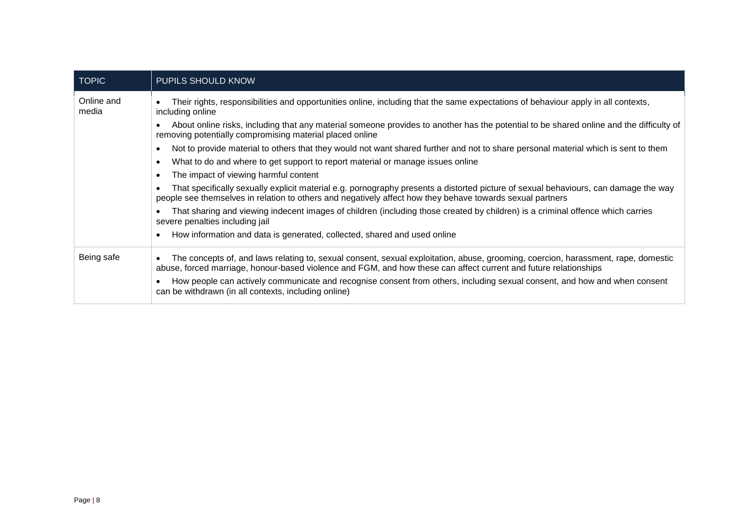| <b>TOPIC</b>        | <b>PUPILS SHOULD KNOW</b>                                                                                                                                                                                                                                          |
|---------------------|--------------------------------------------------------------------------------------------------------------------------------------------------------------------------------------------------------------------------------------------------------------------|
| Online and<br>media | Their rights, responsibilities and opportunities online, including that the same expectations of behaviour apply in all contexts,<br>including online                                                                                                              |
|                     | About online risks, including that any material someone provides to another has the potential to be shared online and the difficulty of<br>removing potentially compromising material placed online                                                                |
|                     | Not to provide material to others that they would not want shared further and not to share personal material which is sent to them<br>$\bullet$                                                                                                                    |
|                     | What to do and where to get support to report material or manage issues online<br>$\bullet$                                                                                                                                                                        |
|                     | The impact of viewing harmful content<br>$\bullet$                                                                                                                                                                                                                 |
|                     | That specifically sexually explicit material e.g. pornography presents a distorted picture of sexual behaviours, can damage the way<br>$\bullet$<br>people see themselves in relation to others and negatively affect how they behave towards sexual partners      |
|                     | That sharing and viewing indecent images of children (including those created by children) is a criminal offence which carries<br>$\bullet$<br>severe penalties including jail                                                                                     |
|                     | How information and data is generated, collected, shared and used online<br>$\bullet$                                                                                                                                                                              |
| Being safe          | The concepts of, and laws relating to, sexual consent, sexual exploitation, abuse, grooming, coercion, harassment, rape, domestic<br>$\bullet$<br>abuse, forced marriage, honour-based violence and FGM, and how these can affect current and future relationships |
|                     | How people can actively communicate and recognise consent from others, including sexual consent, and how and when consent<br>can be withdrawn (in all contexts, including online)                                                                                  |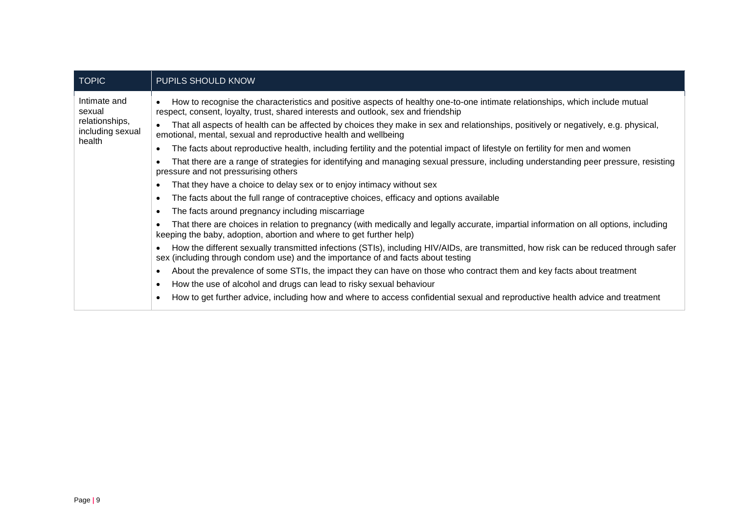| <b>TOPIC</b>                                                           | PUPILS SHOULD KNOW                                                                                                                                                                                                       |  |  |  |
|------------------------------------------------------------------------|--------------------------------------------------------------------------------------------------------------------------------------------------------------------------------------------------------------------------|--|--|--|
| Intimate and<br>sexual<br>relationships,<br>including sexual<br>health | How to recognise the characteristics and positive aspects of healthy one-to-one intimate relationships, which include mutual<br>respect, consent, loyalty, trust, shared interests and outlook, sex and friendship       |  |  |  |
|                                                                        | That all aspects of health can be affected by choices they make in sex and relationships, positively or negatively, e.g. physical,<br>emotional, mental, sexual and reproductive health and wellbeing                    |  |  |  |
|                                                                        | The facts about reproductive health, including fertility and the potential impact of lifestyle on fertility for men and women                                                                                            |  |  |  |
|                                                                        | That there are a range of strategies for identifying and managing sexual pressure, including understanding peer pressure, resisting<br>pressure and not pressurising others                                              |  |  |  |
|                                                                        | That they have a choice to delay sex or to enjoy intimacy without sex                                                                                                                                                    |  |  |  |
|                                                                        | The facts about the full range of contraceptive choices, efficacy and options available<br>$\epsilon$                                                                                                                    |  |  |  |
|                                                                        | The facts around pregnancy including miscarriage<br>$\bullet$                                                                                                                                                            |  |  |  |
|                                                                        | That there are choices in relation to pregnancy (with medically and legally accurate, impartial information on all options, including<br>keeping the baby, adoption, abortion and where to get further help)             |  |  |  |
|                                                                        | How the different sexually transmitted infections (STIs), including HIV/AIDs, are transmitted, how risk can be reduced through safer<br>sex (including through condom use) and the importance of and facts about testing |  |  |  |
|                                                                        | About the prevalence of some STIs, the impact they can have on those who contract them and key facts about treatment                                                                                                     |  |  |  |
|                                                                        | How the use of alcohol and drugs can lead to risky sexual behaviour<br>$\bullet$                                                                                                                                         |  |  |  |
|                                                                        | How to get further advice, including how and where to access confidential sexual and reproductive health advice and treatment                                                                                            |  |  |  |